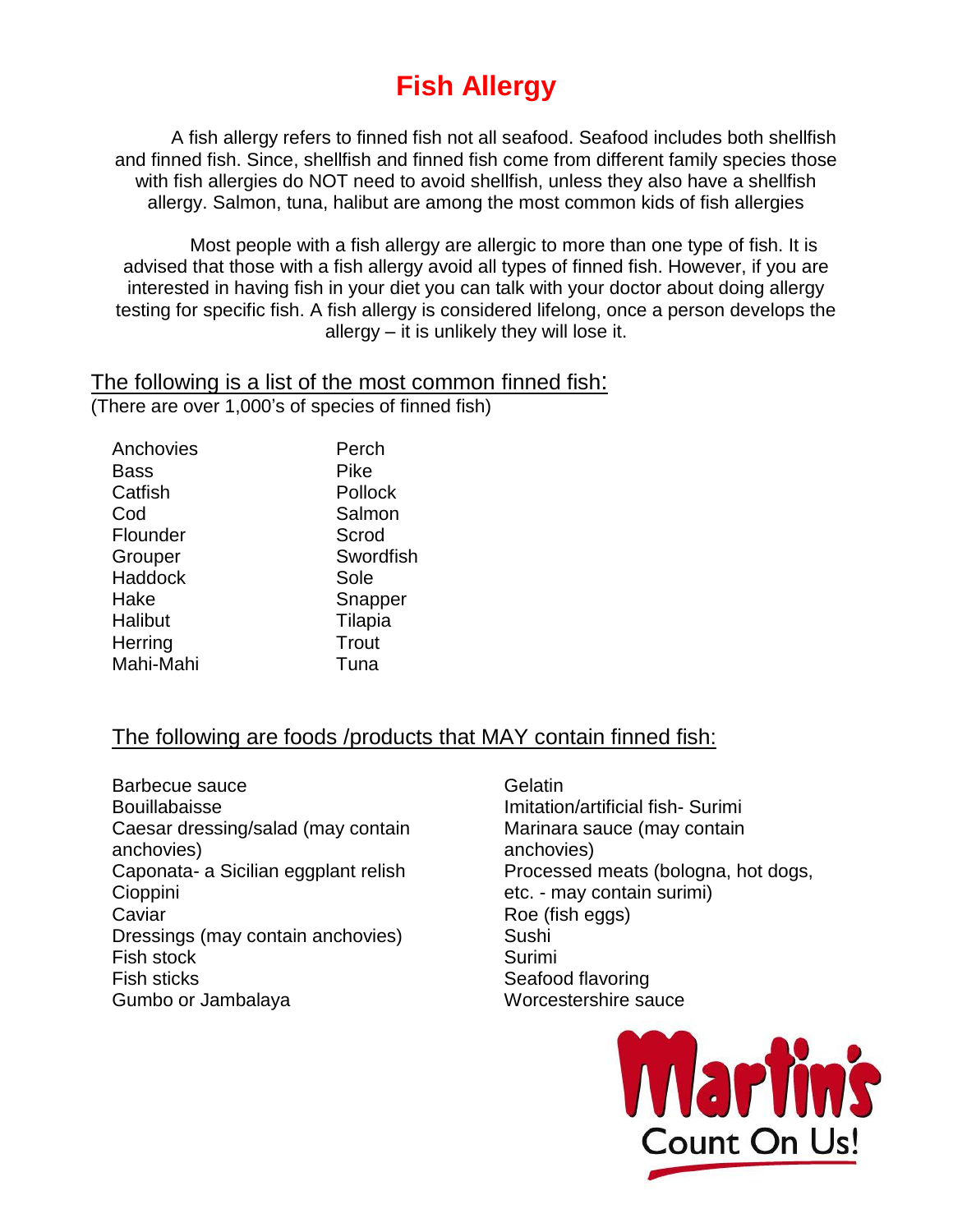# **Fish Allergy**

A fish allergy refers to finned fish not all seafood. Seafood includes both shellfish and finned fish. Since, shellfish and finned fish come from different family species those with fish allergies do NOT need to avoid shellfish, unless they also have a shellfish allergy. Salmon, tuna, halibut are among the most common kids of fish allergies

Most people with a fish allergy are allergic to more than one type of fish. It is advised that those with a fish allergy avoid all types of finned fish. However, if you are interested in having fish in your diet you can talk with your doctor about doing allergy testing for specific fish. A fish allergy is considered lifelong, once a person develops the allergy – it is unlikely they will lose it.

The following is a list of the most common finned fish: (There are over 1,000's of species of finned fish)

| Anchovies      | Perch     |
|----------------|-----------|
| Bass           | Pike      |
| Catfish        | Pollock   |
| Cod            | Salmon    |
| Flounder       | Scrod     |
| Grouper        | Swordfish |
| <b>Haddock</b> | Sole      |
| Hake           | Snapper   |
| Halibut        | Tilapia   |
| Herring        | Trout     |
| Mahi-Mahi      | Tuna      |
|                |           |

### The following are foods /products that MAY contain finned fish:

Barbecue sauce Bouillabaisse Caesar dressing/salad (may contain anchovies) Caponata- a Sicilian eggplant relish Cioppini **Caviar** Dressings (may contain anchovies) Fish stock Fish sticks Gumbo or Jambalaya

Gelatin Imitation/artificial fish- Surimi Marinara sauce (may contain anchovies) Processed meats (bologna, hot dogs, etc. - may contain surimi) Roe (fish eggs) Sushi Surimi Seafood flavoring Worcestershire sauce